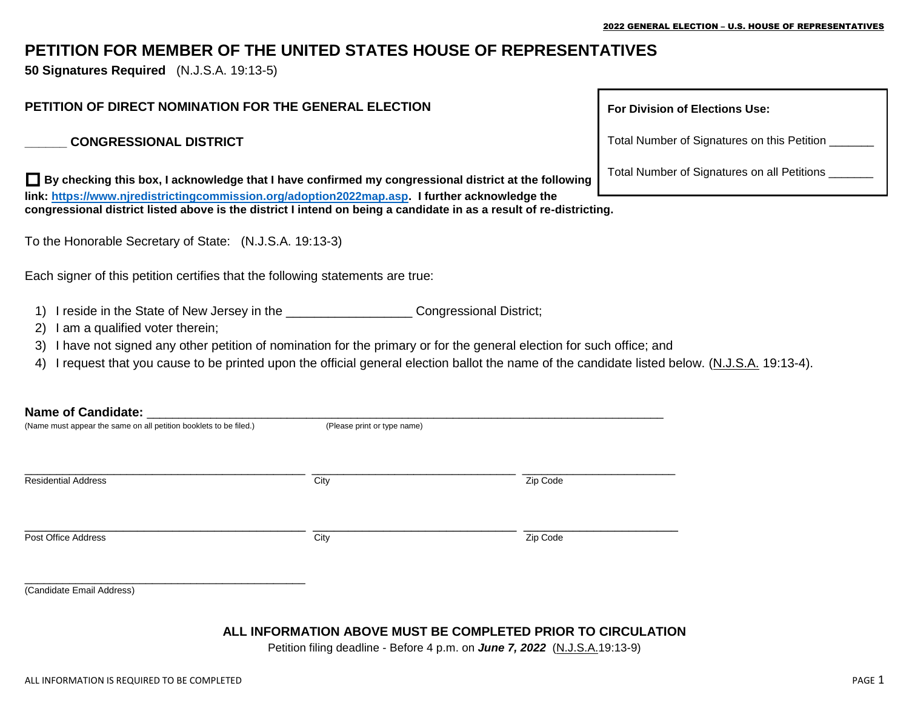# **PETITION FOR MEMBER OF THE UNITED STATES HOUSE OF REPRESENTATIVES**

**50 Signatures Required** (N.J.S.A. 19:13-5)

#### **PETITION OF DIRECT NOMINATION FOR THE GENERAL ELECTION**

#### **\_\_\_\_\_\_ CONGRESSIONAL DISTRICT**

 **By checking this box, I acknowledge that I have confirmed my congressional district at the following link: [https://www.njredistrictingcommission.org/adoption2022map.asp.](https://www.njredistrictingcommission.org/adoption2022map.asp) I further acknowledge the congressional district listed above is the district I intend on being a candidate in as a result of re-districting.**

To the Honorable Secretary of State: (N.J.S.A. 19:13-3)

Each signer of this petition certifies that the following statements are true:

- 1) I reside in the State of New Jersey in the \_\_\_\_\_\_\_\_\_\_\_\_\_\_\_\_\_\_ Congressional District;
- 2) I am a qualified voter therein;
- 3) I have not signed any other petition of nomination for the primary or for the general election for such office; and
- 4) I request that you cause to be printed upon the official general election ballot the name of the candidate listed below. (N.J.S.A. 19:13-4).

#### **Name of Candidate:** \_\_\_\_\_\_\_\_\_\_\_\_\_\_\_\_\_\_\_\_\_\_\_\_\_\_\_\_\_\_\_\_\_\_\_\_\_\_\_\_\_\_\_\_\_\_\_\_\_\_\_\_\_\_\_\_\_\_\_\_\_\_\_\_\_\_\_\_\_\_\_\_\_\_\_\_\_\_\_\_\_

| (Name must appear the same on all petition booklets to be filed.) | (Please print or type name) |          |  |  |
|-------------------------------------------------------------------|-----------------------------|----------|--|--|
| <b>Residential Address</b>                                        | City                        | Zip Code |  |  |
| Post Office Address                                               | City                        | Zip Code |  |  |
| $(0.44 \times 1.44)$ and $(0.44 \times 1.44)$                     |                             |          |  |  |

# **For Division of Elections Use:**

Total Number of Signatures on this Petition \_\_\_\_\_\_\_

Total Number of Signatures on all Petitions \_\_\_\_\_\_\_

(Candidate Email Address)

# **ALL INFORMATION ABOVE MUST BE COMPLETED PRIOR TO CIRCULATION**

Petition filing deadline - Before 4 p.m. on *June 7, 2022* (N.J.S.A.19:13-9)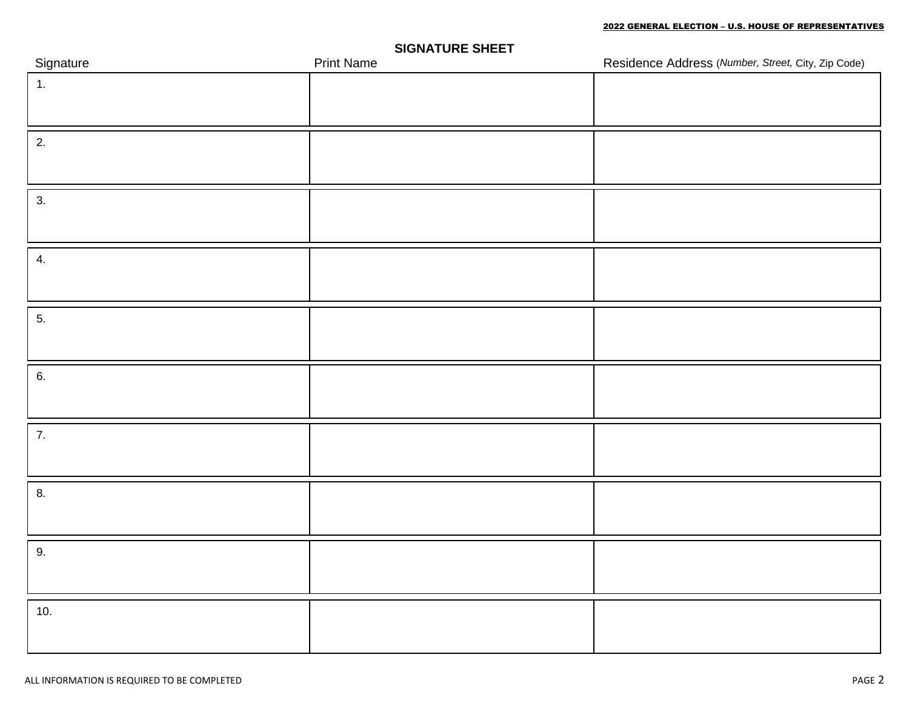| Signature        | <b>Print Name</b> | Residence Address (Number, Street, City, Zip Code) |
|------------------|-------------------|----------------------------------------------------|
| 1.               |                   |                                                    |
|                  |                   |                                                    |
| 2.               |                   |                                                    |
|                  |                   |                                                    |
|                  |                   |                                                    |
| 3.               |                   |                                                    |
|                  |                   |                                                    |
| 4.               |                   |                                                    |
|                  |                   |                                                    |
|                  |                   |                                                    |
| 5.               |                   |                                                    |
|                  |                   |                                                    |
| 6.               |                   |                                                    |
|                  |                   |                                                    |
|                  |                   |                                                    |
| $\overline{7}$ . |                   |                                                    |
|                  |                   |                                                    |
| 8.               |                   |                                                    |
|                  |                   |                                                    |
|                  |                   |                                                    |
| 9.               |                   |                                                    |
|                  |                   |                                                    |
| 10.              |                   |                                                    |
|                  |                   |                                                    |
|                  |                   |                                                    |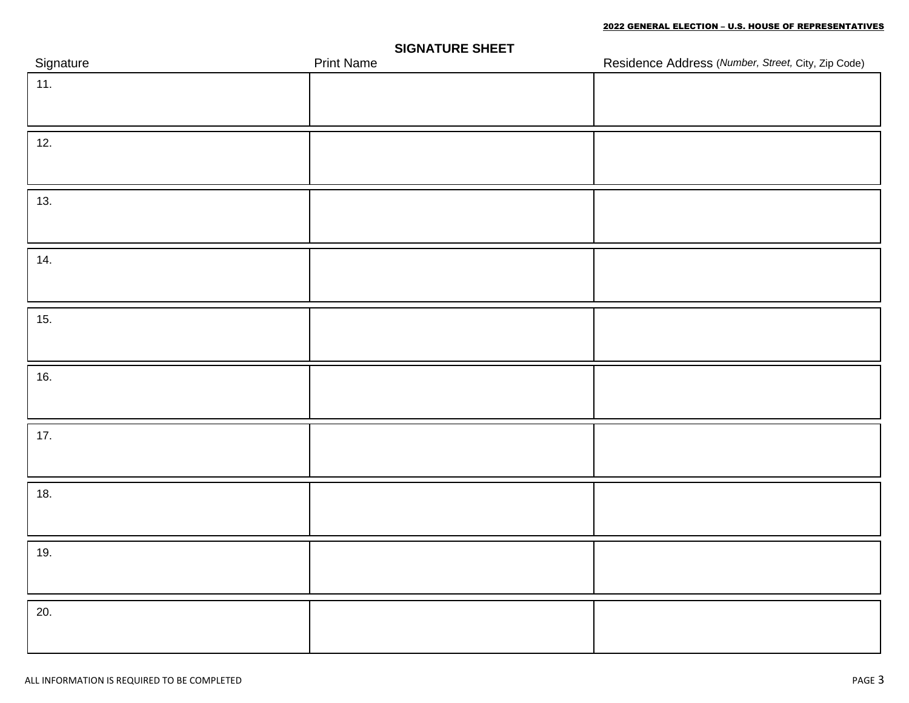| Signature | . .<br>$\overline{\phantom{0}}$<br><b>Print Name</b> | Residence Address (Number, Street, City, Zip Code) |
|-----------|------------------------------------------------------|----------------------------------------------------|
| 11.       |                                                      |                                                    |
|           |                                                      |                                                    |
| 12.       |                                                      |                                                    |
|           |                                                      |                                                    |
|           |                                                      |                                                    |
| 13.       |                                                      |                                                    |
|           |                                                      |                                                    |
|           |                                                      |                                                    |
| 14.       |                                                      |                                                    |
|           |                                                      |                                                    |
| 15.       |                                                      |                                                    |
|           |                                                      |                                                    |
|           |                                                      |                                                    |
| 16.       |                                                      |                                                    |
|           |                                                      |                                                    |
| $17.$     |                                                      |                                                    |
|           |                                                      |                                                    |
|           |                                                      |                                                    |
| 18.       |                                                      |                                                    |
|           |                                                      |                                                    |
| 19.       |                                                      |                                                    |
|           |                                                      |                                                    |
|           |                                                      |                                                    |
| 20.       |                                                      |                                                    |
|           |                                                      |                                                    |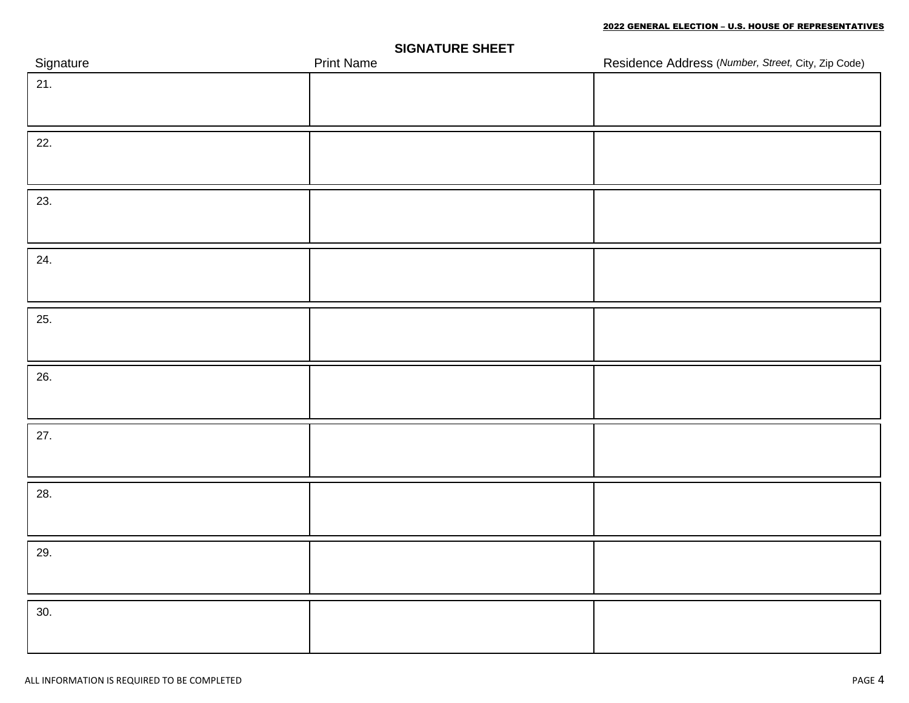| Signature | <b>Print Name</b> | Residence Address (Number, Street, City, Zip Code) |
|-----------|-------------------|----------------------------------------------------|
| 21.       |                   |                                                    |
|           |                   |                                                    |
| 22.       |                   |                                                    |
|           |                   |                                                    |
| 23.       |                   |                                                    |
|           |                   |                                                    |
| 24.       |                   |                                                    |
|           |                   |                                                    |
| 25.       |                   |                                                    |
|           |                   |                                                    |
| 26.       |                   |                                                    |
|           |                   |                                                    |
| 27.       |                   |                                                    |
|           |                   |                                                    |
| 28.       |                   |                                                    |
|           |                   |                                                    |
| 29.       |                   |                                                    |
|           |                   |                                                    |
| 30.       |                   |                                                    |
|           |                   |                                                    |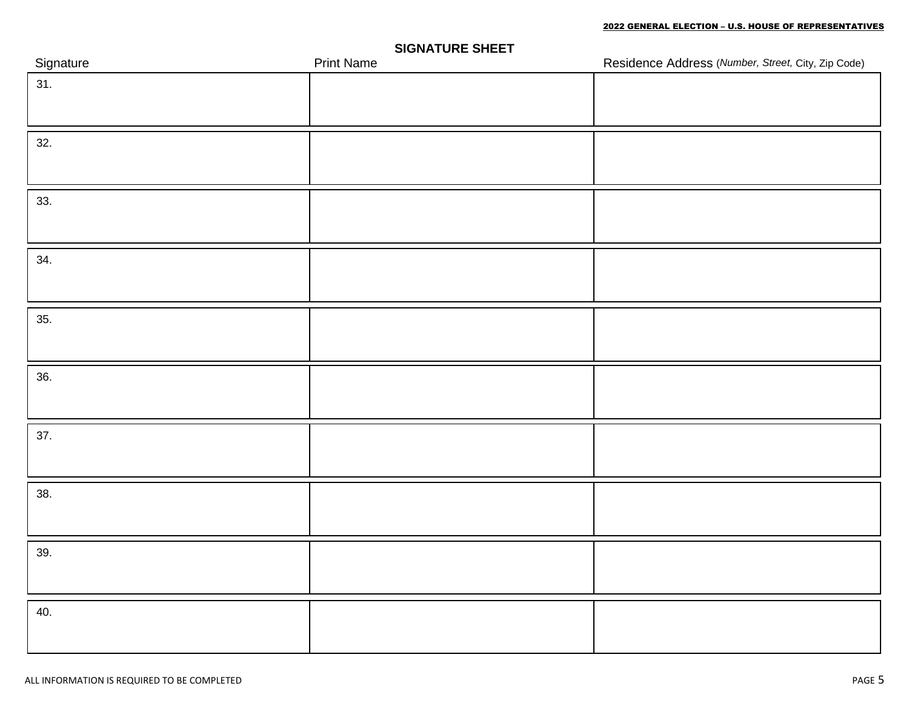| Signature | . .<br><b>Print Name</b> | Residence Address (Number, Street, City, Zip Code) |
|-----------|--------------------------|----------------------------------------------------|
| 31.       |                          |                                                    |
|           |                          |                                                    |
| 32.       |                          |                                                    |
|           |                          |                                                    |
|           |                          |                                                    |
| 33.       |                          |                                                    |
|           |                          |                                                    |
| 34.       |                          |                                                    |
|           |                          |                                                    |
|           |                          |                                                    |
| 35.       |                          |                                                    |
|           |                          |                                                    |
| 36.       |                          |                                                    |
|           |                          |                                                    |
| 37.       |                          |                                                    |
|           |                          |                                                    |
|           |                          |                                                    |
| 38.       |                          |                                                    |
|           |                          |                                                    |
| 39.       |                          |                                                    |
|           |                          |                                                    |
|           |                          |                                                    |
| 40.       |                          |                                                    |
|           |                          |                                                    |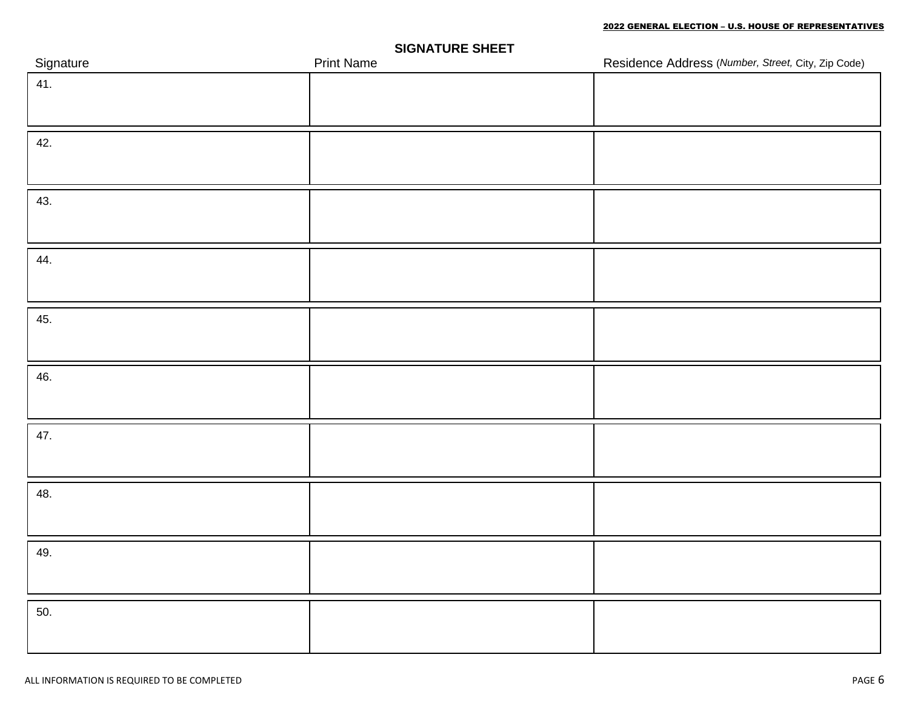| Signature | . .<br><b>Print Name</b> | Residence Address (Number, Street, City, Zip Code) |
|-----------|--------------------------|----------------------------------------------------|
| 41.       |                          |                                                    |
|           |                          |                                                    |
| 42.       |                          |                                                    |
|           |                          |                                                    |
|           |                          |                                                    |
| 43.       |                          |                                                    |
|           |                          |                                                    |
| 44.       |                          |                                                    |
|           |                          |                                                    |
|           |                          |                                                    |
| 45.       |                          |                                                    |
|           |                          |                                                    |
| 46.       |                          |                                                    |
|           |                          |                                                    |
|           |                          |                                                    |
| 47.       |                          |                                                    |
|           |                          |                                                    |
| 48.       |                          |                                                    |
|           |                          |                                                    |
| 49.       |                          |                                                    |
|           |                          |                                                    |
|           |                          |                                                    |
| 50.       |                          |                                                    |
|           |                          |                                                    |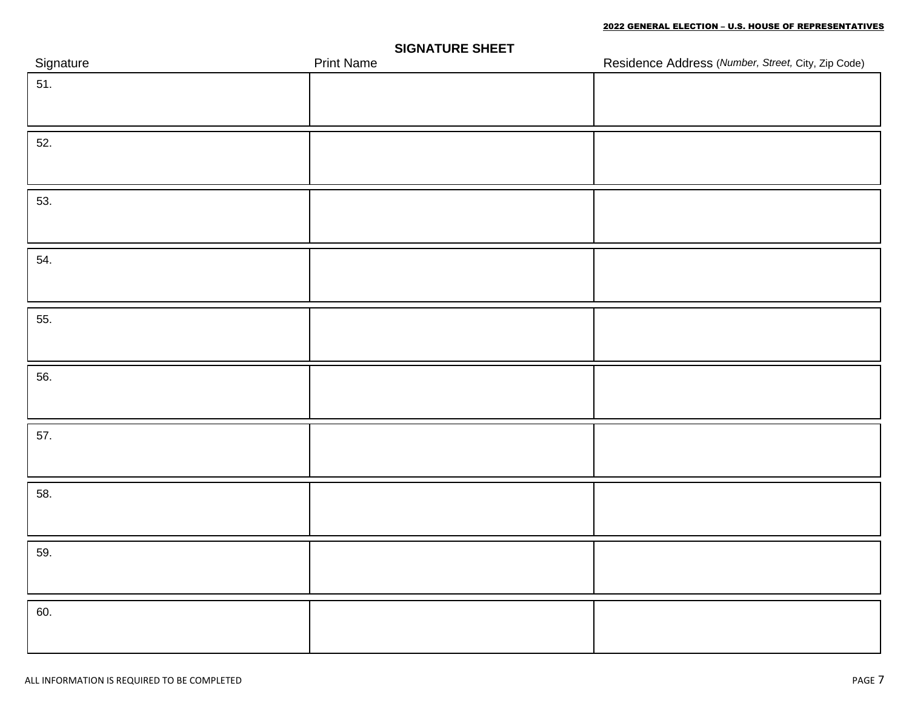| Signature | . .<br><b>Print Name</b> | Residence Address (Number, Street, City, Zip Code) |
|-----------|--------------------------|----------------------------------------------------|
| 51.       |                          |                                                    |
|           |                          |                                                    |
| 52.       |                          |                                                    |
|           |                          |                                                    |
|           |                          |                                                    |
| 53.       |                          |                                                    |
|           |                          |                                                    |
| 54.       |                          |                                                    |
|           |                          |                                                    |
|           |                          |                                                    |
| 55.       |                          |                                                    |
|           |                          |                                                    |
| 56.       |                          |                                                    |
|           |                          |                                                    |
|           |                          |                                                    |
| 57.       |                          |                                                    |
|           |                          |                                                    |
| 58.       |                          |                                                    |
|           |                          |                                                    |
|           |                          |                                                    |
| 59.       |                          |                                                    |
|           |                          |                                                    |
|           |                          |                                                    |
| 60.       |                          |                                                    |
|           |                          |                                                    |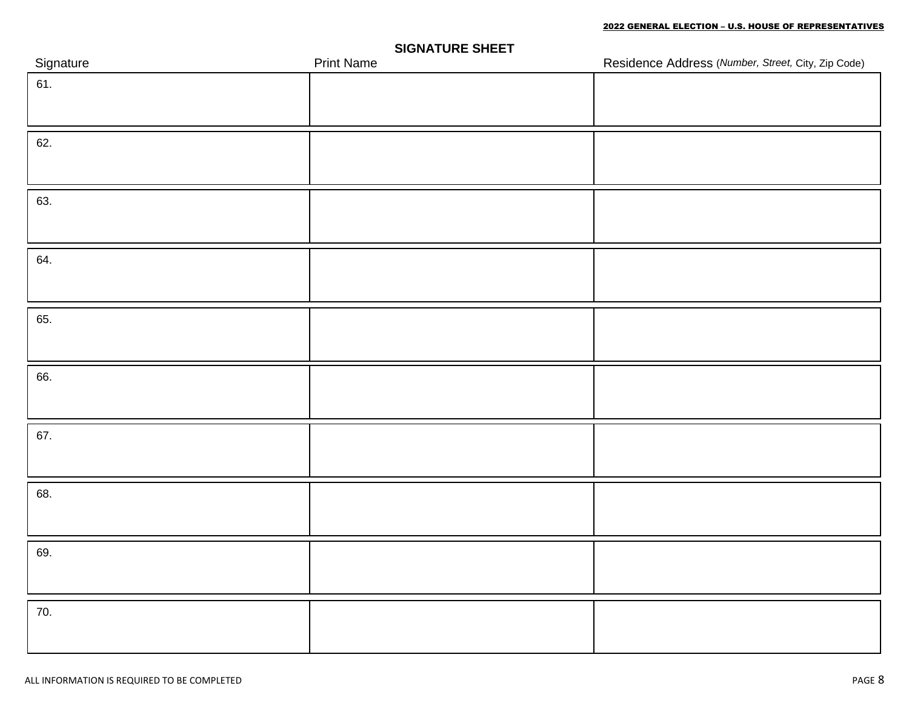| Signature | . .<br><b>Print Name</b> | Residence Address (Number, Street, City, Zip Code) |
|-----------|--------------------------|----------------------------------------------------|
| 61.       |                          |                                                    |
|           |                          |                                                    |
| 62.       |                          |                                                    |
|           |                          |                                                    |
|           |                          |                                                    |
| 63.       |                          |                                                    |
|           |                          |                                                    |
|           |                          |                                                    |
| 64.       |                          |                                                    |
|           |                          |                                                    |
| 65.       |                          |                                                    |
|           |                          |                                                    |
|           |                          |                                                    |
| 66.       |                          |                                                    |
|           |                          |                                                    |
| 67.       |                          |                                                    |
|           |                          |                                                    |
|           |                          |                                                    |
| 68.       |                          |                                                    |
|           |                          |                                                    |
| 69.       |                          |                                                    |
|           |                          |                                                    |
|           |                          |                                                    |
| 70.       |                          |                                                    |
|           |                          |                                                    |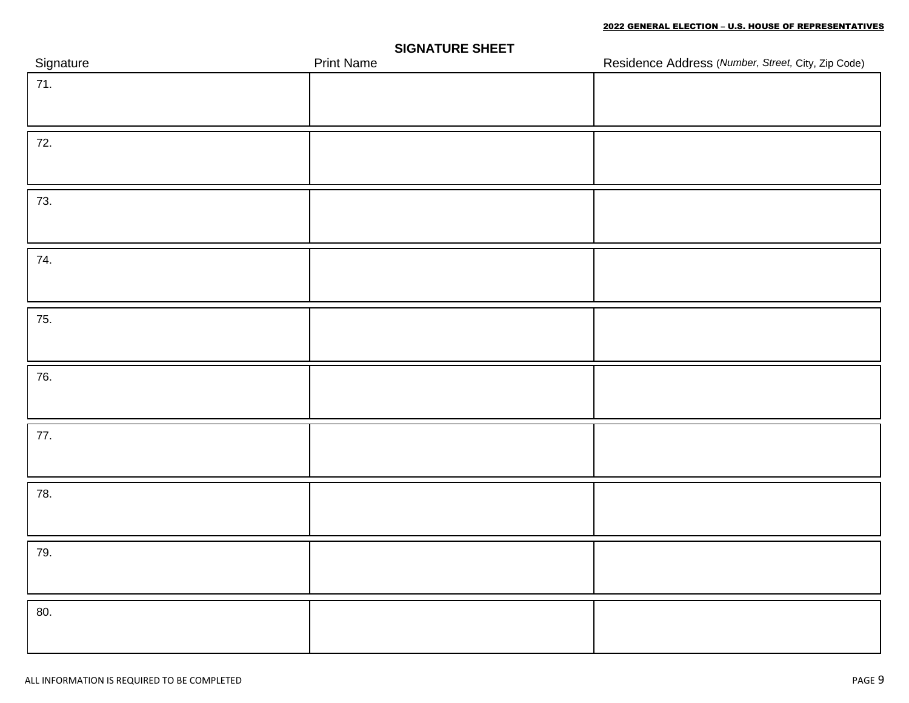| Signature | . .<br>$\overline{\phantom{0}}$<br><b>Print Name</b> | Residence Address (Number, Street, City, Zip Code) |
|-----------|------------------------------------------------------|----------------------------------------------------|
| 71.       |                                                      |                                                    |
|           |                                                      |                                                    |
| 72.       |                                                      |                                                    |
|           |                                                      |                                                    |
|           |                                                      |                                                    |
| 73.       |                                                      |                                                    |
|           |                                                      |                                                    |
| 74.       |                                                      |                                                    |
|           |                                                      |                                                    |
|           |                                                      |                                                    |
| 75.       |                                                      |                                                    |
|           |                                                      |                                                    |
| 76.       |                                                      |                                                    |
|           |                                                      |                                                    |
|           |                                                      |                                                    |
| 77.       |                                                      |                                                    |
|           |                                                      |                                                    |
| 78.       |                                                      |                                                    |
|           |                                                      |                                                    |
| 79.       |                                                      |                                                    |
|           |                                                      |                                                    |
|           |                                                      |                                                    |
| 80.       |                                                      |                                                    |
|           |                                                      |                                                    |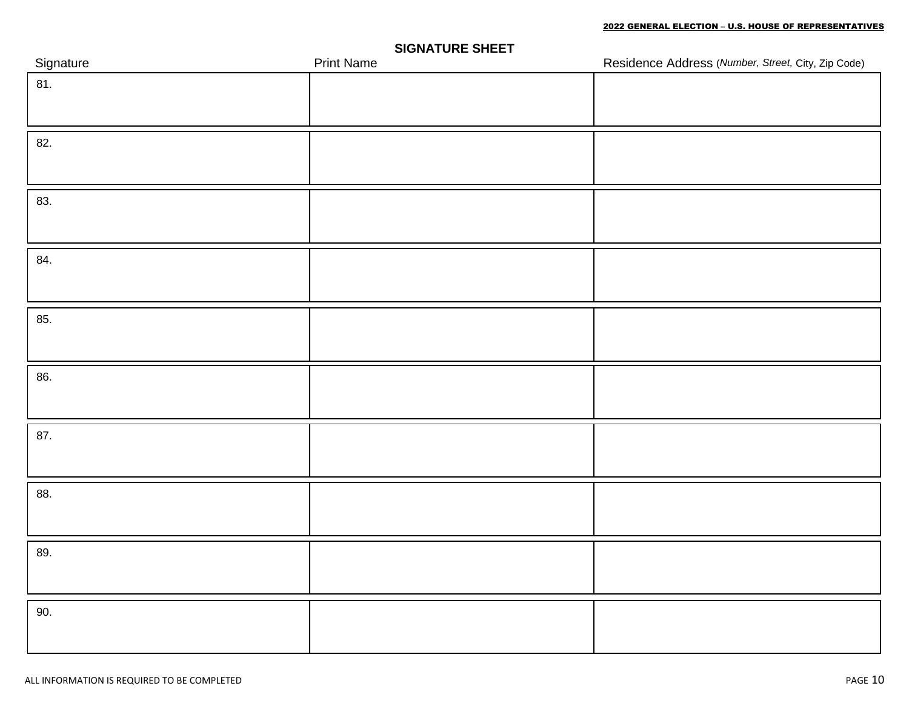| Signature | . .<br><b>Print Name</b> | Residence Address (Number, Street, City, Zip Code) |
|-----------|--------------------------|----------------------------------------------------|
| 81.       |                          |                                                    |
|           |                          |                                                    |
| 82.       |                          |                                                    |
|           |                          |                                                    |
|           |                          |                                                    |
| 83.       |                          |                                                    |
|           |                          |                                                    |
|           |                          |                                                    |
| 84.       |                          |                                                    |
|           |                          |                                                    |
| 85.       |                          |                                                    |
|           |                          |                                                    |
|           |                          |                                                    |
| 86.       |                          |                                                    |
|           |                          |                                                    |
| 87.       |                          |                                                    |
|           |                          |                                                    |
|           |                          |                                                    |
| 88.       |                          |                                                    |
|           |                          |                                                    |
| 89.       |                          |                                                    |
|           |                          |                                                    |
|           |                          |                                                    |
| 90.       |                          |                                                    |
|           |                          |                                                    |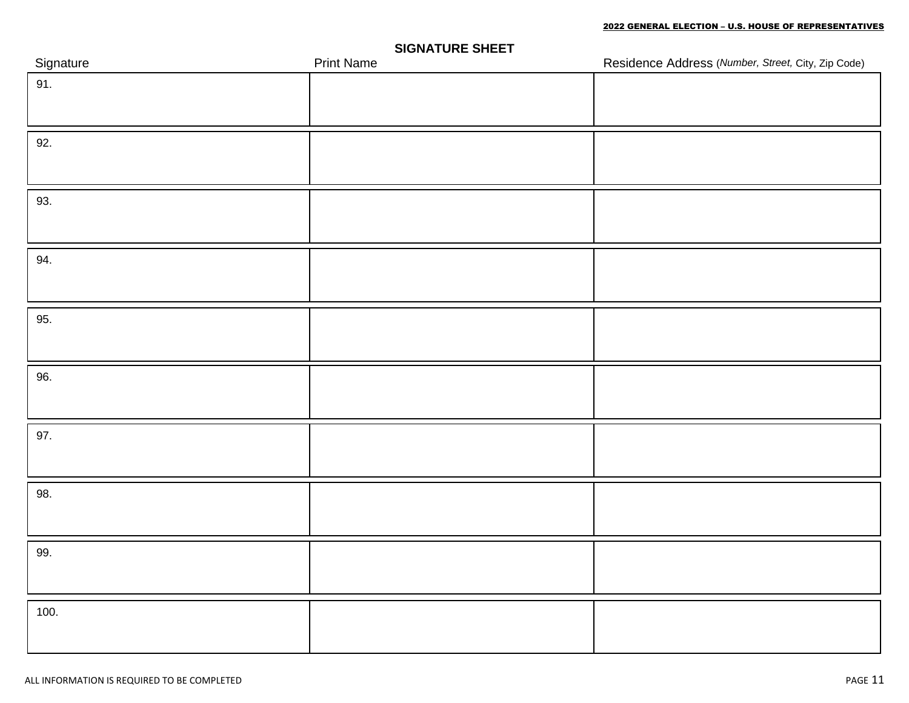| Signature | - -<br><b>Print Name</b> | Residence Address (Number, Street, City, Zip Code) |
|-----------|--------------------------|----------------------------------------------------|
| 91.       |                          |                                                    |
|           |                          |                                                    |
| 92.       |                          |                                                    |
|           |                          |                                                    |
|           |                          |                                                    |
| 93.       |                          |                                                    |
|           |                          |                                                    |
| 94.       |                          |                                                    |
|           |                          |                                                    |
|           |                          |                                                    |
| 95.       |                          |                                                    |
|           |                          |                                                    |
| 96.       |                          |                                                    |
|           |                          |                                                    |
|           |                          |                                                    |
| 97.       |                          |                                                    |
|           |                          |                                                    |
| 98.       |                          |                                                    |
|           |                          |                                                    |
|           |                          |                                                    |
| 99.       |                          |                                                    |
|           |                          |                                                    |
|           |                          |                                                    |
| 100.      |                          |                                                    |
|           |                          |                                                    |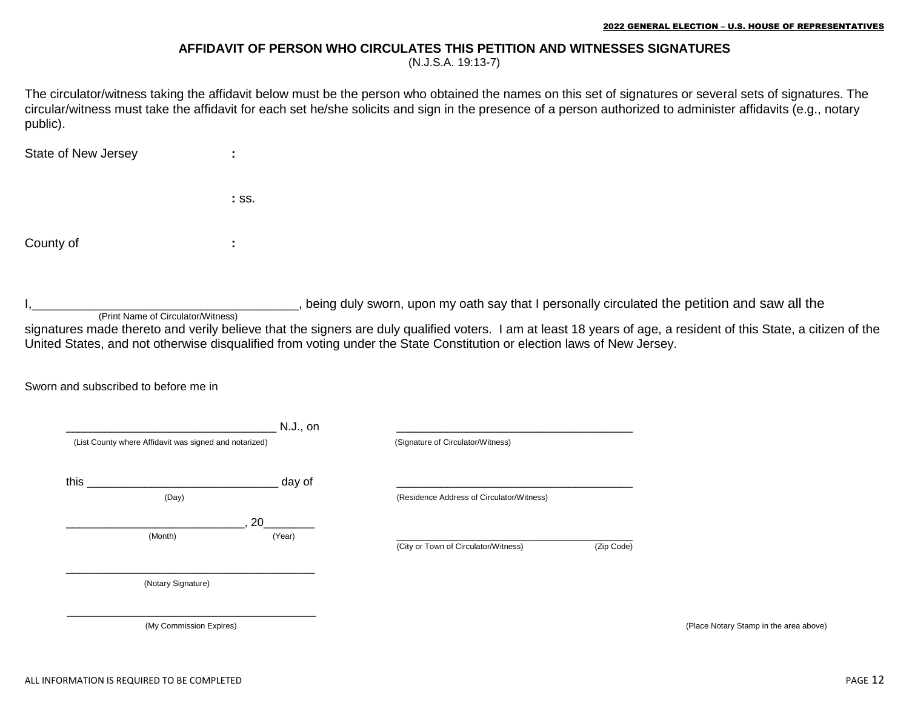#### **AFFIDAVIT OF PERSON WHO CIRCULATES THIS PETITION AND WITNESSES SIGNATURES**

(N.J.S.A. 19:13-7)

The circulator/witness taking the affidavit below must be the person who obtained the names on this set of signatures or several sets of signatures. The circular/witness must take the affidavit for each set he/she solicits and sign in the presence of a person authorized to administer affidavits (e.g., notary public).

State of New Jersey :

 **:** ss.

County of **:**

, being duly sworn, upon my oath say that I personally circulated the petition and saw all the

(Print Name of Circulator/Witness)

signatures made thereto and verily believe that the signers are duly qualified voters. I am at least 18 years of age, a resident of this State, a citizen of the United States, and not otherwise disqualified from voting under the State Constitution or election laws of New Jersey.

Sworn and subscribed to before me in

| (List County where Affidavit was signed and notarized) | N.J., on     | (Signature of Circulator/Witness)         |            |
|--------------------------------------------------------|--------------|-------------------------------------------|------------|
| this $\overline{\phantom{a}}$<br>(Day)                 | day of       | (Residence Address of Circulator/Witness) |            |
| (Month)                                                | 20<br>(Year) | (City or Town of Circulator/Witness)      | (Zip Code) |
| (Notary Signature)                                     |              |                                           |            |
| (My Commission Expires)                                |              |                                           |            |

Notary Stamp in the area above)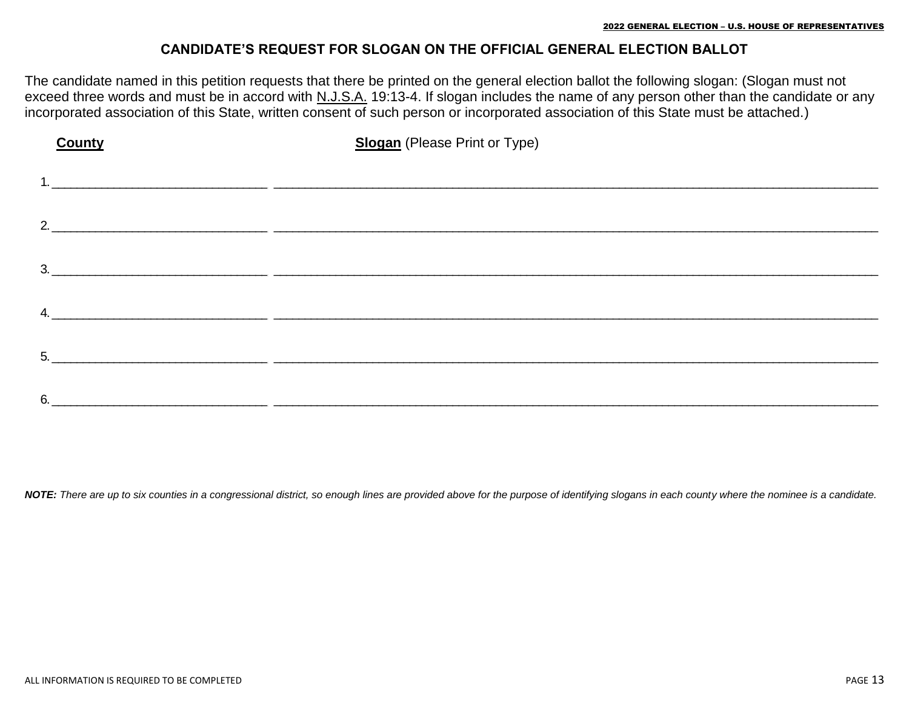#### **CANDIDATE'S REQUEST FOR SLOGAN ON THE OFFICIAL GENERAL ELECTION BALLOT**

The candidate named in this petition requests that there be printed on the general election ballot the following slogan: (Slogan must not exceed three words and must be in accord with N.J.S.A. 19:13-4. If slogan includes the name of any person other than the candidate or any incorporated association of this State, written consent of such person or incorporated association of this State must be attached.)

| <b>County</b> | <b>Slogan</b> (Please Print or Type)                                                                                   |
|---------------|------------------------------------------------------------------------------------------------------------------------|
|               |                                                                                                                        |
|               |                                                                                                                        |
|               |                                                                                                                        |
|               | $3.$ $\overline{\phantom{a}}$                                                                                          |
|               | 4.                                                                                                                     |
|               |                                                                                                                        |
| 5.            | <u> 1980 - Johann Johann Harry Start (f. 1980)</u>                                                                     |
| 6.            | <u> 1989 - Johann Stoff, deutscher Stoff aus der Stoff aus der Stoff aus der Stoff aus der Stoff aus der Stoff aus</u> |

*NOTE: There are up to six counties in a congressional district, so enough lines are provided above for the purpose of identifying slogans in each county where the nominee is a candidate.*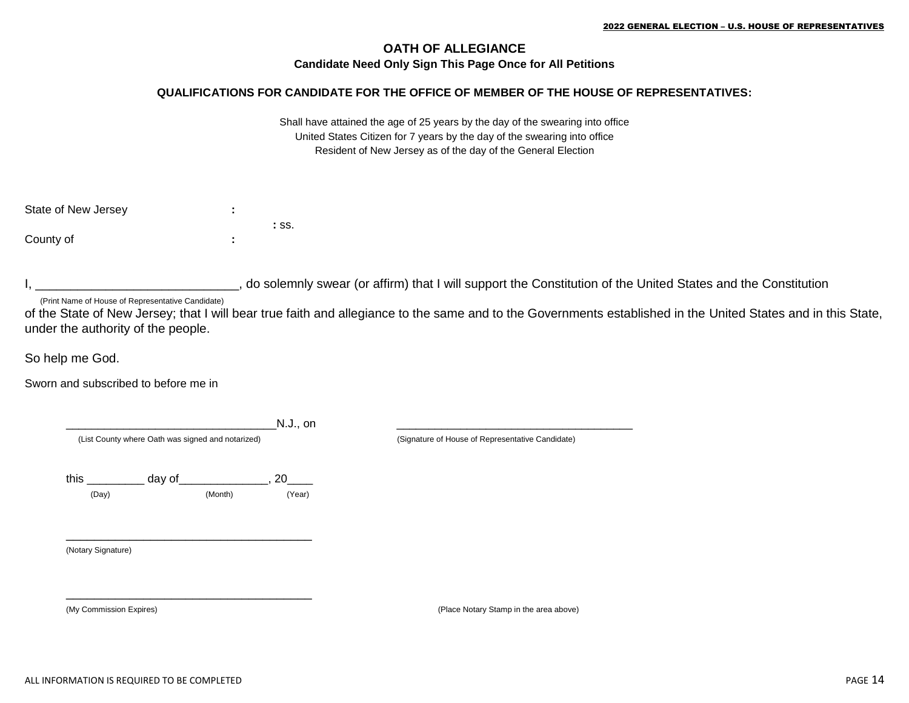#### **OATH OF ALLEGIANCE Candidate Need Only Sign This Page Once for All Petitions**

#### **QUALIFICATIONS FOR CANDIDATE FOR THE OFFICE OF MEMBER OF THE HOUSE OF REPRESENTATIVES:**

Shall have attained the age of 25 years by the day of the swearing into office United States Citizen for 7 years by the day of the swearing into office Resident of New Jersey as of the day of the General Election

| State of New Jersey | ٠<br>٠ |         |
|---------------------|--------|---------|
|                     |        | $:$ SS. |
| County of           | ٠<br>٠ |         |

I, do solemnly swear (or affirm) that I will support the Constitution of the United States and the Constitution

(Print Name of House of Representative Candidate)

of the State of New Jersey; that I will bear true faith and allegiance to the same and to the Governments established in the United States and in this State, under the authority of the people.

So help me God.

Sworn and subscribed to before me in

|                                                   |         | N.J., on |                                                  |
|---------------------------------------------------|---------|----------|--------------------------------------------------|
| (List County where Oath was signed and notarized) |         |          | (Signature of House of Representative Candidate) |
| this $\qquad$                                     | day of  | 20       |                                                  |
| (Day)                                             | (Month) | (Year)   |                                                  |
|                                                   |         |          |                                                  |
|                                                   |         |          |                                                  |
|                                                   |         |          |                                                  |
| (Notary Signature)                                |         |          |                                                  |
|                                                   |         |          |                                                  |
|                                                   |         |          |                                                  |